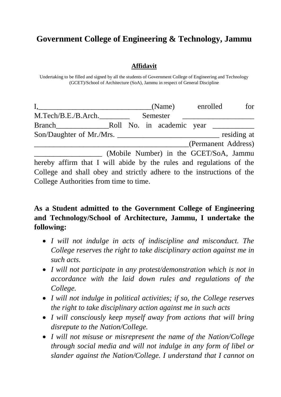## **Government College of Engineering & Technology, Jammu**

## **Affidavit**

Undertaking to be filled and signed by all the students of Government College of Engineering and Technology (GCET)/School of Architecture (SoA), Jammu in respect of General Discipline

|                                                                       | (Name) enrolled                        |                     | for         |
|-----------------------------------------------------------------------|----------------------------------------|---------------------|-------------|
| M.Tech/B.E./B.Arch.                                                   | Semester                               |                     |             |
| <b>Branch</b>                                                         | Roll No. in academic year              |                     |             |
|                                                                       |                                        |                     | residing at |
|                                                                       |                                        | (Permanent Address) |             |
|                                                                       | (Mobile Number) in the GCET/SoA, Jammu |                     |             |
| hereby affirm that I will abide by the rules and regulations of the   |                                        |                     |             |
| College and shall obey and strictly adhere to the instructions of the |                                        |                     |             |

**As a Student admitted to the Government College of Engineering and Technology/School of Architecture, Jammu, I undertake the following:**

College Authorities from time to time.

- *I will not indulge in acts of indiscipline and misconduct. The College reserves the right to take disciplinary action against me in such acts.*
- *I will not participate in any protest/demonstration which is not in accordance with the laid down rules and regulations of the College.*
- *I will not indulge in political activities; if so, the College reserves the right to take disciplinary action against me in such acts*
- *I will consciously keep myself away from actions that will bring disrepute to the Nation/College.*
- *I will not misuse or misrepresent the name of the Nation/College through social media and will not indulge in any form of libel or slander against the Nation/College. I understand that I cannot on*